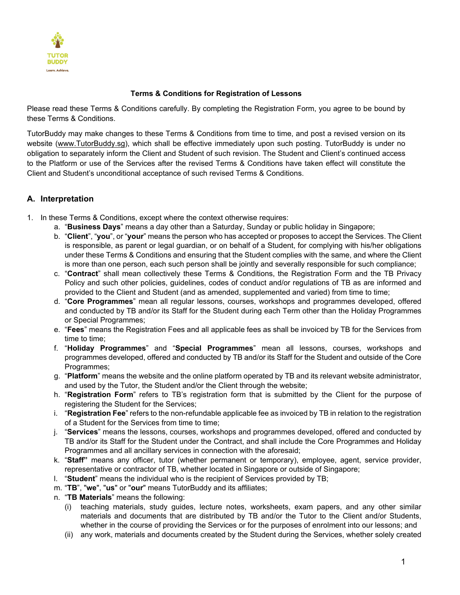

### **Terms & Conditions for Registration of Lessons**

Please read these Terms & Conditions carefully. By completing the Registration Form, you agree to be bound by these Terms & Conditions.

TutorBuddy may make changes to these Terms & Conditions from time to time, and post a revised version on its website [\(www.TutorBuddy.sg\)](http://www.tutorbuddy.sg/), which shall be effective immediately upon such posting. TutorBuddy is under no obligation to separately inform the Client and Student of such revision. The Student and Client's continued access to the Platform or use of the Services after the revised Terms & Conditions have taken effect will constitute the Client and Student's unconditional acceptance of such revised Terms & Conditions.

# **A. Interpretation**

- 1. In these Terms & Conditions, except where the context otherwise requires:
	- a. "**Business Days**" means a day other than a Saturday, Sunday or public holiday in Singapore;
	- b. "**Client**", "**you**", or "**your**" means the person who has accepted or proposes to accept the Services. The Client is responsible, as parent or legal guardian, or on behalf of a Student, for complying with his/her obligations under these Terms & Conditions and ensuring that the Student complies with the same, and where the Client is more than one person, each such person shall be jointly and severally responsible for such compliance;
	- c. "**Contract**" shall mean collectively these Terms & Conditions, the Registration Form and the TB Privacy Policy and such other policies, guidelines, codes of conduct and/or regulations of TB as are informed and provided to the Client and Student (and as amended, supplemented and varied) from time to time;
	- d. "**Core Programmes**" mean all regular lessons, courses, workshops and programmes developed, offered and conducted by TB and/or its Staff for the Student during each Term other than the Holiday Programmes or Special Programmes;
	- e. "**Fees**" means the Registration Fees and all applicable fees as shall be invoiced by TB for the Services from time to time;
	- f. "**Holiday Programmes**" and "**Special Programmes**" mean all lessons, courses, workshops and programmes developed, offered and conducted by TB and/or its Staff for the Student and outside of the Core Programmes;
	- g. "**Platform**" means the website and the online platform operated by TB and its relevant website administrator, and used by the Tutor, the Student and/or the Client through the website;
	- h. "**Registration Form**" refers to TB's registration form that is submitted by the Client for the purpose of registering the Student for the Services;
	- i. "**Registration Fee**" refers to the non-refundable applicable fee as invoiced by TB in relation to the registration of a Student for the Services from time to time;
	- j. "**Services**" means the lessons, courses, workshops and programmes developed, offered and conducted by TB and/or its Staff for the Student under the Contract, and shall include the Core Programmes and Holiday Programmes and all ancillary services in connection with the aforesaid;
	- k. "**Staff"** means any officer, tutor (whether permanent or temporary), employee, agent, service provider, representative or contractor of TB, whether located in Singapore or outside of Singapore;
	- l. "**Student**" means the individual who is the recipient of Services provided by TB;
	- m. "**TB**", "**we**", "**us**" or "**our**" means TutorBuddy and its affiliates;
	- n. "**TB Materials**" means the following:
		- (i) teaching materials, study guides, lecture notes, worksheets, exam papers, and any other similar materials and documents that are distributed by TB and/or the Tutor to the Client and/or Students, whether in the course of providing the Services or for the purposes of enrolment into our lessons; and
		- (ii) any work, materials and documents created by the Student during the Services, whether solely created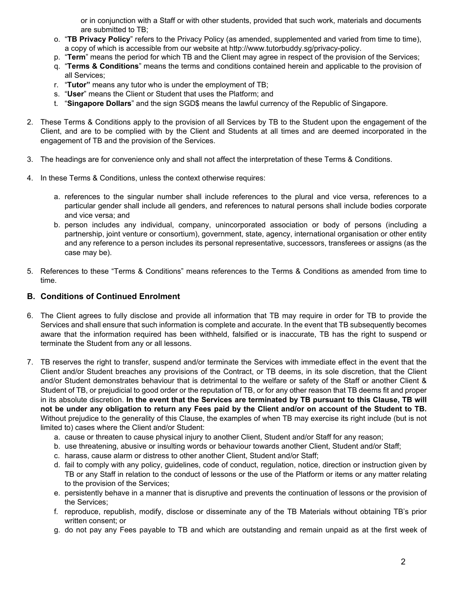or in conjunction with a Staff or with other students, provided that such work, materials and documents are submitted to TB;

- o. "**TB Privacy Policy**" refers to the Privacy Policy (as amended, supplemented and varied from time to time), a copy of which is accessible from our website at http://www.tutorbuddy.sg/privacy-policy.
- p. "**Term**" means the period for which TB and the Client may agree in respect of the provision of the Services;
- q. "**Terms & Conditions**" means the terms and conditions contained herein and applicable to the provision of all Services;
- r. "**Tutor"** means any tutor who is under the employment of TB;
- s. "**User**" means the Client or Student that uses the Platform; and
- t. "**Singapore Dollars**" and the sign SGD\$ means the lawful currency of the Republic of Singapore.
- 2. These Terms & Conditions apply to the provision of all Services by TB to the Student upon the engagement of the Client, and are to be complied with by the Client and Students at all times and are deemed incorporated in the engagement of TB and the provision of the Services.
- 3. The headings are for convenience only and shall not affect the interpretation of these Terms & Conditions.
- 4. In these Terms & Conditions, unless the context otherwise requires:
	- a. references to the singular number shall include references to the plural and vice versa, references to a particular gender shall include all genders, and references to natural persons shall include bodies corporate and vice versa; and
	- b. person includes any individual, company, unincorporated association or body of persons (including a partnership, joint venture or consortium), government, state, agency, international organisation or other entity and any reference to a person includes its personal representative, successors, transferees or assigns (as the case may be).
- 5. References to these "Terms & Conditions" means references to the Terms & Conditions as amended from time to time.

### **B. Conditions of Continued Enrolment**

- 6. The Client agrees to fully disclose and provide all information that TB may require in order for TB to provide the Services and shall ensure that such information is complete and accurate. In the event that TB subsequently becomes aware that the information required has been withheld, falsified or is inaccurate, TB has the right to suspend or terminate the Student from any or all lessons.
- 7. TB reserves the right to transfer, suspend and/or terminate the Services with immediate effect in the event that the Client and/or Student breaches any provisions of the Contract, or TB deems, in its sole discretion, that the Client and/or Student demonstrates behaviour that is detrimental to the welfare or safety of the Staff or another Client & Student of TB, or prejudicial to good order or the reputation of TB, or for any other reason that TB deems fit and proper in its absolute discretion. **In the event that the Services are terminated by TB pursuant to this Clause, TB will not be under any obligation to return any Fees paid by the Client and/or on account of the Student to TB.** Without prejudice to the generality of this Clause, the examples of when TB may exercise its right include (but is not limited to) cases where the Client and/or Student:
	- a. cause or threaten to cause physical injury to another Client, Student and/or Staff for any reason;
	- b. use threatening, abusive or insulting words or behaviour towards another Client, Student and/or Staff;
	- c. harass, cause alarm or distress to other another Client, Student and/or Staff;
	- d. fail to comply with any policy, guidelines, code of conduct, regulation, notice, direction or instruction given by TB or any Staff in relation to the conduct of lessons or the use of the Platform or items or any matter relating to the provision of the Services;
	- e. persistently behave in a manner that is disruptive and prevents the continuation of lessons or the provision of the Services;
	- f. reproduce, republish, modify, disclose or disseminate any of the TB Materials without obtaining TB's prior written consent; or
	- g. do not pay any Fees payable to TB and which are outstanding and remain unpaid as at the first week of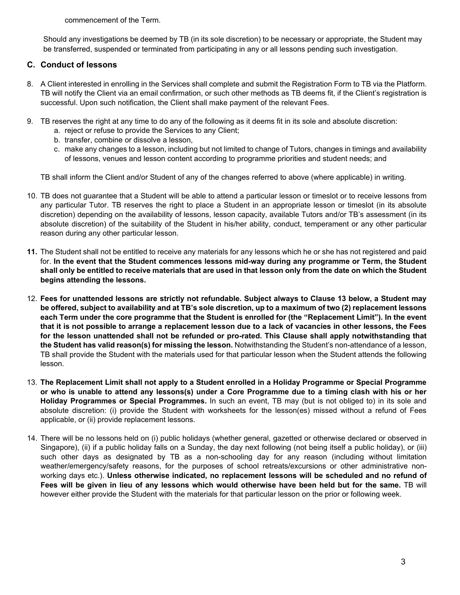commencement of the Term.

Should any investigations be deemed by TB (in its sole discretion) to be necessary or appropriate, the Student may be transferred, suspended or terminated from participating in any or all lessons pending such investigation.

# **C. Conduct of lessons**

- <span id="page-2-1"></span>8. A Client interested in enrolling in the Services shall complete and submit the Registration Form to TB via the Platform. TB will notify the Client via an email confirmation, or such other methods as TB deems fit, if the Client's registration is successful. Upon such notification, the Client shall make payment of the relevant Fees.
- 9. TB reserves the right at any time to do any of the following as it deems fit in its sole and absolute discretion:
	- a. reject or refuse to provide the Services to any Client;
	- b. transfer, combine or dissolve a lesson,
	- c. make any changes to a lesson, including but not limited to change of Tutors, changes in timings and availability of lessons, venues and lesson content according to programme priorities and student needs; and

TB shall inform the Client and/or Student of any of the changes referred to above (where applicable) in writing.

- 10. TB does not guarantee that a Student will be able to attend a particular lesson or timeslot or to receive lessons from any particular Tutor. TB reserves the right to place a Student in an appropriate lesson or timeslot (in its absolute discretion) depending on the availability of lessons, lesson capacity, available Tutors and/or TB's assessment (in its absolute discretion) of the suitability of the Student in his/her ability, conduct, temperament or any other particular reason during any other particular lesson.
- **11.** The Student shall not be entitled to receive any materials for any lessons which he or she has not registered and paid for. **In the event that the Student commences lessons mid-way during any programme or Term, the Student shall only be entitled to receive materials that are used in that lesson only from the date on which the Student begins attending the lessons.**
- 12. **Fees for unattended lessons are strictly not refundable. Subject always to Clause [13](#page-2-0) below, a Student may be offered, subject to availability and at TB's sole discretion, up to a maximum of two (2) replacement lessons each Term under the core programme that the Student is enrolled for (the "Replacement Limit"). In the event that it is not possible to arrange a replacement lesson due to a lack of vacancies in other lessons, the Fees for the lesson unattended shall not be refunded or pro-rated. This Clause shall apply notwithstanding that the Student has valid reason(s) for missing the lesson.** Notwithstanding the Student's non-attendance of a lesson, TB shall provide the Student with the materials used for that particular lesson when the Student attends the following lesson.
- <span id="page-2-0"></span>13. **The Replacement Limit shall not apply to a Student enrolled in a Holiday Programme or Special Programme or who is unable to attend any lessons(s) under a Core Programme due to a timing clash with his or her Holiday Programmes or Special Programmes.** In such an event, TB may (but is not obliged to) in its sole and absolute discretion: (i) provide the Student with worksheets for the lesson(es) missed without a refund of Fees applicable, or (ii) provide replacement lessons.
- 14. There will be no lessons held on (i) public holidays (whether general, gazetted or otherwise declared or observed in Singapore), (ii) if a public holiday falls on a Sunday, the day next following (not being itself a public holiday), or (iii) such other days as designated by TB as a non-schooling day for any reason (including without limitation weather/emergency/safety reasons, for the purposes of school retreats/excursions or other administrative nonworking days etc.). **Unless otherwise indicated, no replacement lessons will be scheduled and no refund of Fees will be given in lieu of any lessons which would otherwise have been held but for the same.** TB will however either provide the Student with the materials for that particular lesson on the prior or following week.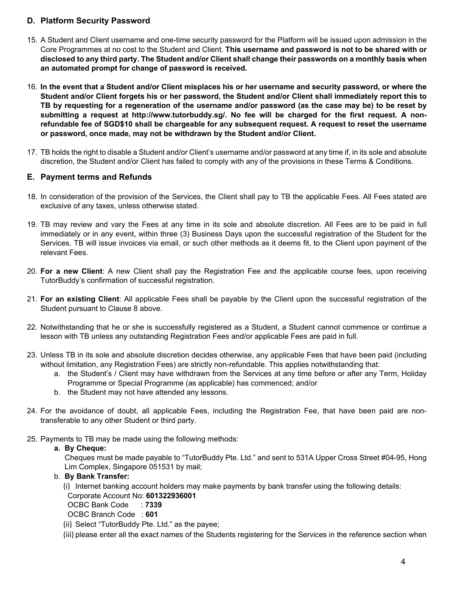# **D. Platform Security Password**

- 15. A Student and Client username and one-time security password for the Platform will be issued upon admission in the Core Programmes at no cost to the Student and Client. **This username and password is not to be shared with or disclosed to any third party. The Student and/or Client shall change their passwords on a monthly basis when an automated prompt for change of password is received.**
- 16. **In the event that a Student and/or Client misplaces his or her username and security password, or where the Student and/or Client forgets his or her password, the Student and/or Client shall immediately report this to TB by requesting for a regeneration of the username and/or password (as the case may be) to be reset by submitting a request at http://www.tutorbuddy.sg/. No fee will be charged for the first request. A nonrefundable fee of SGD\$10 shall be chargeable for any subsequent request. A request to reset the username or password, once made, may not be withdrawn by the Student and/or Client.**
- 17. TB holds the right to disable a Student and/or Client's username and/or password at any time if, in its sole and absolute discretion, the Student and/or Client has failed to comply with any of the provisions in these Terms & Conditions.

# **E. Payment terms and Refunds**

- 18. In consideration of the provision of the Services, the Client shall pay to TB the applicable Fees. All Fees stated are exclusive of any taxes, unless otherwise stated.
- <span id="page-3-0"></span>19. TB may review and vary the Fees at any time in its sole and absolute discretion. All Fees are to be paid in full immediately or in any event, within three (3) Business Days upon the successful registration of the Student for the Services. TB will issue invoices via email, or such other methods as it deems fit, to the Client upon payment of the relevant Fees.
- 20. **For a new Client**: A new Client shall pay the Registration Fee and the applicable course fees, upon receiving TutorBuddy's confirmation of successful registration.
- 21. **For an existing Client**: All applicable Fees shall be payable by the Client upon the successful registration of the Student pursuant to Clause [8](#page-2-1) above.
- 22. Notwithstanding that he or she is successfully registered as a Student, a Student cannot commence or continue a lesson with TB unless any outstanding Registration Fees and/or applicable Fees are paid in full.
- 23. Unless TB in its sole and absolute discretion decides otherwise, any applicable Fees that have been paid (including without limitation, any Registration Fees) are strictly non-refundable. This applies notwithstanding that:
	- a. the Student's / Client may have withdrawn from the Services at any time before or after any Term, Holiday Programme or Special Programme (as applicable) has commenced; and/or
	- b. the Student may not have attended any lessons.
- 24. For the avoidance of doubt, all applicable Fees, including the Registration Fee, that have been paid are nontransferable to any other Student or third party.
- 25. Payments to TB may be made using the following methods:

#### **a. By Cheque:**

Cheques must be made payable to "TutorBuddy Pte. Ltd." and sent to 531A Upper Cross Street #04-95, Hong Lim Complex, Singapore 051531 by mail;

#### b. **By Bank Transfer:**

- (i) Internet banking account holders may make payments by bank transfer using the following details: Corporate Account No: **601322936001**
- OCBC Bank Code : **7339**

OCBC Branch Code : **601**

- (ii) Select "TutorBuddy Pte. Ltd." as the payee;
- (iii) please enter all the exact names of the Students registering for the Services in the reference section when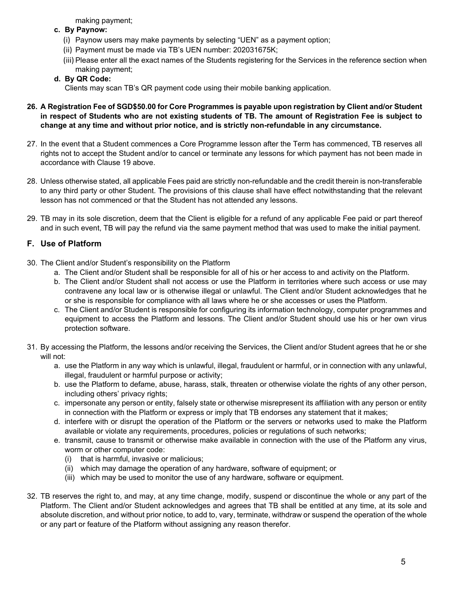making payment;

- **c. By Paynow:**
	- (i) Paynow users may make payments by selecting "UEN" as a payment option;
	- (ii) Payment must be made via TB's UEN number: 202031675K;
	- (iii) Please enter all the exact names of the Students registering for the Services in the reference section when making payment;

# **d. By QR Code:**

Clients may scan TB's QR payment code using their mobile banking application.

- **26. A Registration Fee of SGD\$50.00 for Core Programmes is payable upon registration by Client and/or Student in respect of Students who are not existing students of TB. The amount of Registration Fee is subject to change at any time and without prior notice, and is strictly non-refundable in any circumstance.**
- 27. In the event that a Student commences a Core Programme lesson after the Term has commenced, TB reserves all rights not to accept the Student and/or to cancel or terminate any lessons for which payment has not been made in accordance with Clause [19](#page-3-0) above.
- 28. Unless otherwise stated, all applicable Fees paid are strictly non-refundable and the credit therein is non-transferable to any third party or other Student. The provisions of this clause shall have effect notwithstanding that the relevant lesson has not commenced or that the Student has not attended any lessons.
- 29. TB may in its sole discretion, deem that the Client is eligible for a refund of any applicable Fee paid or part thereof and in such event, TB will pay the refund via the same payment method that was used to make the initial payment.

# **F. Use of Platform**

- 30. The Client and/or Student's responsibility on the Platform
	- a. The Client and/or Student shall be responsible for all of his or her access to and activity on the Platform.
	- b. The Client and/or Student shall not access or use the Platform in territories where such access or use may contravene any local law or is otherwise illegal or unlawful. The Client and/or Student acknowledges that he or she is responsible for compliance with all laws where he or she accesses or uses the Platform.
	- c. The Client and/or Student is responsible for configuring its information technology, computer programmes and equipment to access the Platform and lessons. The Client and/or Student should use his or her own virus protection software.
- 31. By accessing the Platform, the lessons and/or receiving the Services, the Client and/or Student agrees that he or she will not:
	- a. use the Platform in any way which is unlawful, illegal, fraudulent or harmful, or in connection with any unlawful, illegal, fraudulent or harmful purpose or activity;
	- b. use the Platform to defame, abuse, harass, stalk, threaten or otherwise violate the rights of any other person, including others' privacy rights;
	- c. impersonate any person or entity, falsely state or otherwise misrepresent its affiliation with any person or entity in connection with the Platform or express or imply that TB endorses any statement that it makes;
	- d. interfere with or disrupt the operation of the Platform or the servers or networks used to make the Platform available or violate any requirements, procedures, policies or regulations of such networks;
	- e. transmit, cause to transmit or otherwise make available in connection with the use of the Platform any virus, worm or other computer code:
		- (i) that is harmful, invasive or malicious;
		- (ii) which may damage the operation of any hardware, software of equipment; or
		- (iii) which may be used to monitor the use of any hardware, software or equipment.
- 32. TB reserves the right to, and may, at any time change, modify, suspend or discontinue the whole or any part of the Platform. The Client and/or Student acknowledges and agrees that TB shall be entitled at any time, at its sole and absolute discretion, and without prior notice, to add to, vary, terminate, withdraw or suspend the operation of the whole or any part or feature of the Platform without assigning any reason therefor.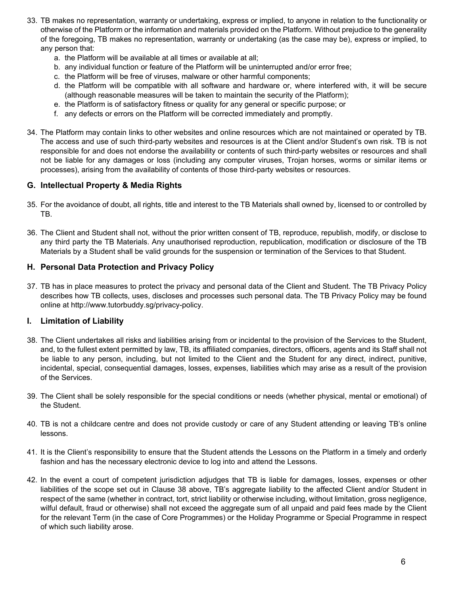- 33. TB makes no representation, warranty or undertaking, express or implied, to anyone in relation to the functionality or otherwise of the Platform or the information and materials provided on the Platform. Without prejudice to the generality of the foregoing, TB makes no representation, warranty or undertaking (as the case may be), express or implied, to any person that:
	- a. the Platform will be available at all times or available at all;
	- b. any individual function or feature of the Platform will be uninterrupted and/or error free;
	- c. the Platform will be free of viruses, malware or other harmful components;
	- d. the Platform will be compatible with all software and hardware or, where interfered with, it will be secure (although reasonable measures will be taken to maintain the security of the Platform);
	- e. the Platform is of satisfactory fitness or quality for any general or specific purpose; or
	- f. any defects or errors on the Platform will be corrected immediately and promptly.
- 34. The Platform may contain links to other websites and online resources which are not maintained or operated by TB. The access and use of such third-party websites and resources is at the Client and/or Student's own risk. TB is not responsible for and does not endorse the availability or contents of such third-party websites or resources and shall not be liable for any damages or loss (including any computer viruses, Trojan horses, worms or similar items or processes), arising from the availability of contents of those third-party websites or resources.

# **G. Intellectual Property & Media Rights**

- 35. For the avoidance of doubt, all rights, title and interest to the TB Materials shall owned by, licensed to or controlled by TB.
- 36. The Client and Student shall not, without the prior written consent of TB, reproduce, republish, modify, or disclose to any third party the TB Materials. Any unauthorised reproduction, republication, modification or disclosure of the TB Materials by a Student shall be valid grounds for the suspension or termination of the Services to that Student.

### **H. Personal Data Protection and Privacy Policy**

37. TB has in place measures to protect the privacy and personal data of the Client and Student. The TB Privacy Policy describes how TB collects, uses, discloses and processes such personal data. The TB Privacy Policy may be found online at http://www.tutorbuddy.sg/privacy-policy.

#### **I. Limitation of Liability**

- <span id="page-5-0"></span>38. The Client undertakes all risks and liabilities arising from or incidental to the provision of the Services to the Student, and, to the fullest extent permitted by law, TB, its affiliated companies, directors, officers, agents and its Staff shall not be liable to any person, including, but not limited to the Client and the Student for any direct, indirect, punitive, incidental, special, consequential damages, losses, expenses, liabilities which may arise as a result of the provision of the Services.
- 39. The Client shall be solely responsible for the special conditions or needs (whether physical, mental or emotional) of the Student.
- 40. TB is not a childcare centre and does not provide custody or care of any Student attending or leaving TB's online lessons.
- 41. It is the Client's responsibility to ensure that the Student attends the Lessons on the Platform in a timely and orderly fashion and has the necessary electronic device to log into and attend the Lessons.
- 42. In the event a court of competent jurisdiction adjudges that TB is liable for damages, losses, expenses or other liabilities of the scope set out in Clause [38](#page-5-0) above, TB's aggregate liability to the affected Client and/or Student in respect of the same (whether in contract, tort, strict liability or otherwise including, without limitation, gross negligence, wilful default, fraud or otherwise) shall not exceed the aggregate sum of all unpaid and paid fees made by the Client for the relevant Term (in the case of Core Programmes) or the Holiday Programme or Special Programme in respect of which such liability arose.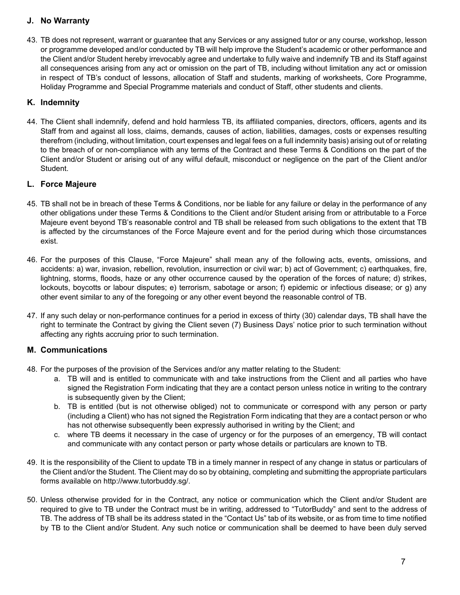# **J. No Warranty**

43. TB does not represent, warrant or guarantee that any Services or any assigned tutor or any course, workshop, lesson or programme developed and/or conducted by TB will help improve the Student's academic or other performance and the Client and/or Student hereby irrevocably agree and undertake to fully waive and indemnify TB and its Staff against all consequences arising from any act or omission on the part of TB, including without limitation any act or omission in respect of TB's conduct of lessons, allocation of Staff and students, marking of worksheets, Core Programme, Holiday Programme and Special Programme materials and conduct of Staff, other students and clients.

# **K. Indemnity**

44. The Client shall indemnify, defend and hold harmless TB, its affiliated companies, directors, officers, agents and its Staff from and against all loss, claims, demands, causes of action, liabilities, damages, costs or expenses resulting therefrom (including, without limitation, court expenses and legal fees on a full indemnity basis) arising out of or relating to the breach of or non-compliance with any terms of the Contract and these Terms & Conditions on the part of the Client and/or Student or arising out of any wilful default, misconduct or negligence on the part of the Client and/or Student.

# **L. Force Majeure**

- 45. TB shall not be in breach of these Terms & Conditions, nor be liable for any failure or delay in the performance of any other obligations under these Terms & Conditions to the Client and/or Student arising from or attributable to a Force Majeure event beyond TB's reasonable control and TB shall be released from such obligations to the extent that TB is affected by the circumstances of the Force Majeure event and for the period during which those circumstances exist.
- 46. For the purposes of this Clause, "Force Majeure" shall mean any of the following acts, events, omissions, and accidents: a) war, invasion, rebellion, revolution, insurrection or civil war; b) act of Government; c) earthquakes, fire, lightning, storms, floods, haze or any other occurrence caused by the operation of the forces of nature; d) strikes, lockouts, boycotts or labour disputes; e) terrorism, sabotage or arson; f) epidemic or infectious disease; or g) any other event similar to any of the foregoing or any other event beyond the reasonable control of TB.
- 47. If any such delay or non-performance continues for a period in excess of thirty (30) calendar days, TB shall have the right to terminate the Contract by giving the Client seven (7) Business Days' notice prior to such termination without affecting any rights accruing prior to such termination.

# **M. Communications**

- 48. For the purposes of the provision of the Services and/or any matter relating to the Student:
	- a. TB will and is entitled to communicate with and take instructions from the Client and all parties who have signed the Registration Form indicating that they are a contact person unless notice in writing to the contrary is subsequently given by the Client;
	- b. TB is entitled (but is not otherwise obliged) not to communicate or correspond with any person or party (including a Client) who has not signed the Registration Form indicating that they are a contact person or who has not otherwise subsequently been expressly authorised in writing by the Client; and
	- c. where TB deems it necessary in the case of urgency or for the purposes of an emergency, TB will contact and communicate with any contact person or party whose details or particulars are known to TB.
- 49. It is the responsibility of the Client to update TB in a timely manner in respect of any change in status or particulars of the Client and/or the Student. The Client may do so by obtaining, completing and submitting the appropriate particulars forms available on http://www.tutorbuddy.sg/.
- 50. Unless otherwise provided for in the Contract, any notice or communication which the Client and/or Student are required to give to TB under the Contract must be in writing, addressed to "TutorBuddy" and sent to the address of TB. The address of TB shall be its address stated in the "Contact Us" tab of its website, or as from time to time notified by TB to the Client and/or Student. Any such notice or communication shall be deemed to have been duly served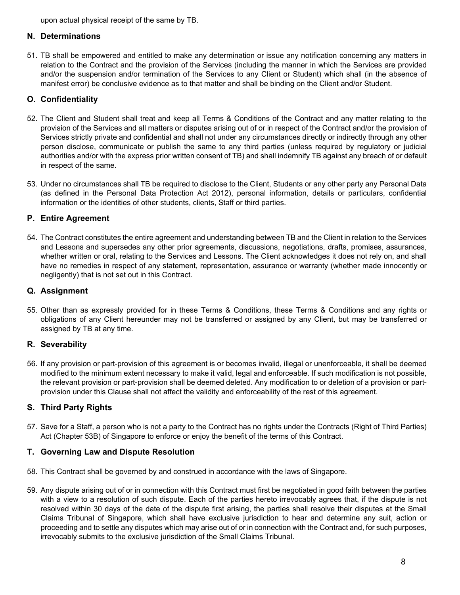upon actual physical receipt of the same by TB.

### **N. Determinations**

51. TB shall be empowered and entitled to make any determination or issue any notification concerning any matters in relation to the Contract and the provision of the Services (including the manner in which the Services are provided and/or the suspension and/or termination of the Services to any Client or Student) which shall (in the absence of manifest error) be conclusive evidence as to that matter and shall be binding on the Client and/or Student.

# **O. Confidentiality**

- 52. The Client and Student shall treat and keep all Terms & Conditions of the Contract and any matter relating to the provision of the Services and all matters or disputes arising out of or in respect of the Contract and/or the provision of Services strictly private and confidential and shall not under any circumstances directly or indirectly through any other person disclose, communicate or publish the same to any third parties (unless required by regulatory or judicial authorities and/or with the express prior written consent of TB) and shall indemnify TB against any breach of or default in respect of the same.
- 53. Under no circumstances shall TB be required to disclose to the Client, Students or any other party any Personal Data (as defined in the Personal Data Protection Act 2012), personal information, details or particulars, confidential information or the identities of other students, clients, Staff or third parties.

# **P. Entire Agreement**

54. The Contract constitutes the entire agreement and understanding between TB and the Client in relation to the Services and Lessons and supersedes any other prior agreements, discussions, negotiations, drafts, promises, assurances, whether written or oral, relating to the Services and Lessons. The Client acknowledges it does not rely on, and shall have no remedies in respect of any statement, representation, assurance or warranty (whether made innocently or negligently) that is not set out in this Contract.

# **Q. Assignment**

55. Other than as expressly provided for in these Terms & Conditions, these Terms & Conditions and any rights or obligations of any Client hereunder may not be transferred or assigned by any Client, but may be transferred or assigned by TB at any time.

# **R. Severability**

56. If any provision or part-provision of this agreement is or becomes invalid, illegal or unenforceable, it shall be deemed modified to the minimum extent necessary to make it valid, legal and enforceable. If such modification is not possible, the relevant provision or part-provision shall be deemed deleted. Any modification to or deletion of a provision or partprovision under this Clause shall not affect the validity and enforceability of the rest of this agreement.

# **S. Third Party Rights**

57. Save for a Staff, a person who is not a party to the Contract has no rights under the Contracts (Right of Third Parties) Act (Chapter 53B) of Singapore to enforce or enjoy the benefit of the terms of this Contract.

# **T. Governing Law and Dispute Resolution**

- 58. This Contract shall be governed by and construed in accordance with the laws of Singapore.
- 59. Any dispute arising out of or in connection with this Contract must first be negotiated in good faith between the parties with a view to a resolution of such dispute. Each of the parties hereto irrevocably agrees that, if the dispute is not resolved within 30 days of the date of the dispute first arising, the parties shall resolve their disputes at the Small Claims Tribunal of Singapore, which shall have exclusive jurisdiction to hear and determine any suit, action or proceeding and to settle any disputes which may arise out of or in connection with the Contract and, for such purposes, irrevocably submits to the exclusive jurisdiction of the Small Claims Tribunal.